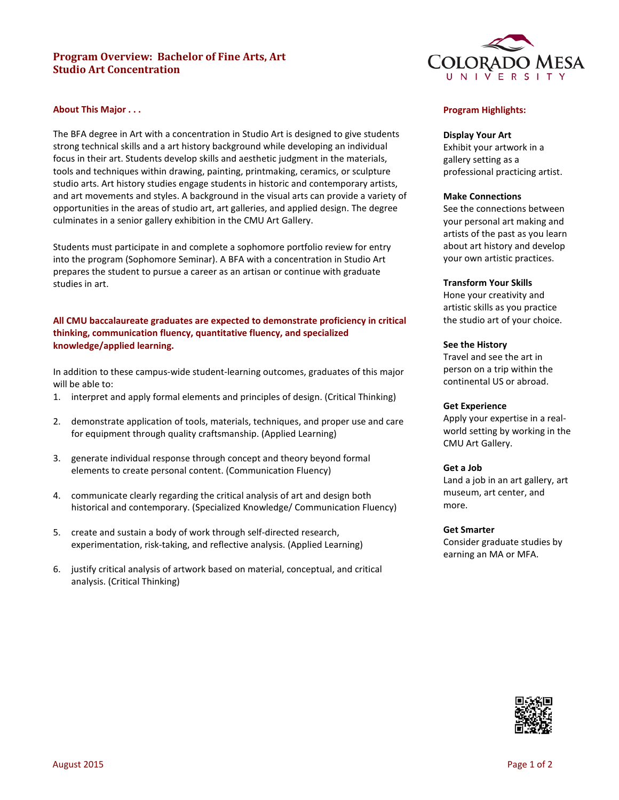# **Program Overview: Bachelor of Fine Arts, Art Studio Art Concentration**



### **About This Major . . .**

The BFA degree in Art with a concentration in Studio Art is designed to give students strong technical skills and a art history background while developing an individual focus in their art. Students develop skills and aesthetic judgment in the materials, tools and techniques within drawing, painting, printmaking, ceramics, or sculpture studio arts. Art history studies engage students in historic and contemporary artists, and art movements and styles. A background in the visual arts can provide a variety of opportunities in the areas of studio art, art galleries, and applied design. The degree culminates in a senior gallery exhibition in the CMU Art Gallery.

Students must participate in and complete a sophomore portfolio review for entry into the program (Sophomore Seminar). A BFA with a concentration in Studio Art prepares the student to pursue a career as an artisan or continue with graduate studies in art.

### **All CMU baccalaureate graduates are expected to demonstrate proficiency in critical thinking, communication fluency, quantitative fluency, and specialized knowledge/applied learning.**

In addition to these campus-wide student-learning outcomes, graduates of this major will be able to:

- 1. interpret and apply formal elements and principles of design. (Critical Thinking)
- 2. demonstrate application of tools, materials, techniques, and proper use and care for equipment through quality craftsmanship. (Applied Learning)
- 3. generate individual response through concept and theory beyond formal elements to create personal content. (Communication Fluency)
- 4. communicate clearly regarding the critical analysis of art and design both historical and contemporary. (Specialized Knowledge/ Communication Fluency)
- 5. create and sustain a body of work through self-directed research, experimentation, risk-taking, and reflective analysis. (Applied Learning)
- 6. justify critical analysis of artwork based on material, conceptual, and critical analysis. (Critical Thinking)

### **Program Highlights:**

### **Display Your Art**

Exhibit your artwork in a gallery setting as a professional practicing artist.

#### **Make Connections**

See the connections between your personal art making and artists of the past as you learn about art history and develop your own artistic practices.

#### **Transform Your Skills**

Hone your creativity and artistic skills as you practice the studio art of your choice.

### **See the History**

Travel and see the art in person on a trip within the continental US or abroad.

#### **Get Experience**

Apply your expertise in a realworld setting by working in the CMU Art Gallery.

### **Get a Job**

Land a job in an art gallery, art museum, art center, and more.

#### **Get Smarter**

Consider graduate studies by earning an MA or MFA.